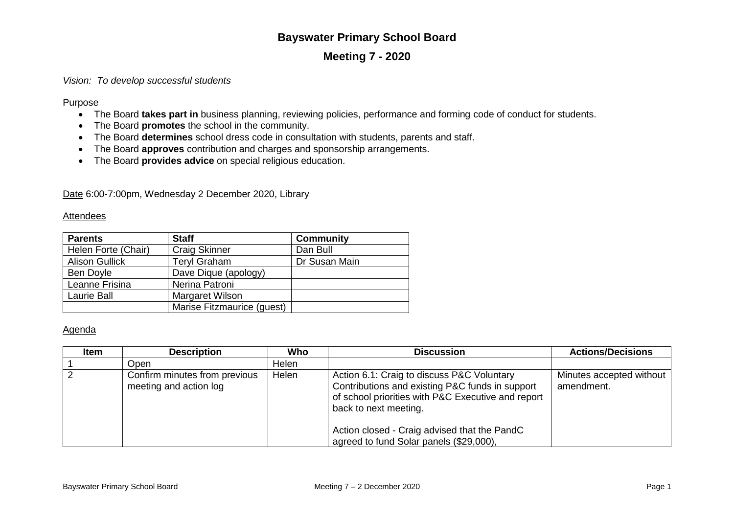# **Bayswater Primary School Board**

## **Meeting 7 - 2020**

## *Vision: To develop successful students*

Purpose

- The Board **takes part in** business planning, reviewing policies, performance and forming code of conduct for students.
- The Board **promotes** the school in the community.
- The Board **determines** school dress code in consultation with students, parents and staff.
- The Board **approves** contribution and charges and sponsorship arrangements.
- The Board **provides advice** on special religious education.

Date 6:00-7:00pm, Wednesday 2 December 2020, Library

### **Attendees**

| <b>Parents</b>        | <b>Staff</b>               | <b>Community</b> |
|-----------------------|----------------------------|------------------|
| Helen Forte (Chair)   | <b>Craig Skinner</b>       | Dan Bull         |
| <b>Alison Gullick</b> | <b>Teryl Graham</b>        | Dr Susan Main    |
| Ben Doyle             | Dave Dique (apology)       |                  |
| Leanne Frisina        | Nerina Patroni             |                  |
| Laurie Ball           | Margaret Wilson            |                  |
|                       | Marise Fitzmaurice (guest) |                  |

### Agenda

| Item | <b>Description</b>                                      | Who   | <b>Discussion</b>                                                                                                                                                                                                                                                       | <b>Actions/Decisions</b>               |
|------|---------------------------------------------------------|-------|-------------------------------------------------------------------------------------------------------------------------------------------------------------------------------------------------------------------------------------------------------------------------|----------------------------------------|
|      | Open                                                    | Helen |                                                                                                                                                                                                                                                                         |                                        |
|      | Confirm minutes from previous<br>meeting and action log | Helen | Action 6.1: Craig to discuss P&C Voluntary<br>Contributions and existing P&C funds in support<br>of school priorities with P&C Executive and report<br>back to next meeting.<br>Action closed - Craig advised that the PandC<br>agreed to fund Solar panels (\$29,000), | Minutes accepted without<br>amendment. |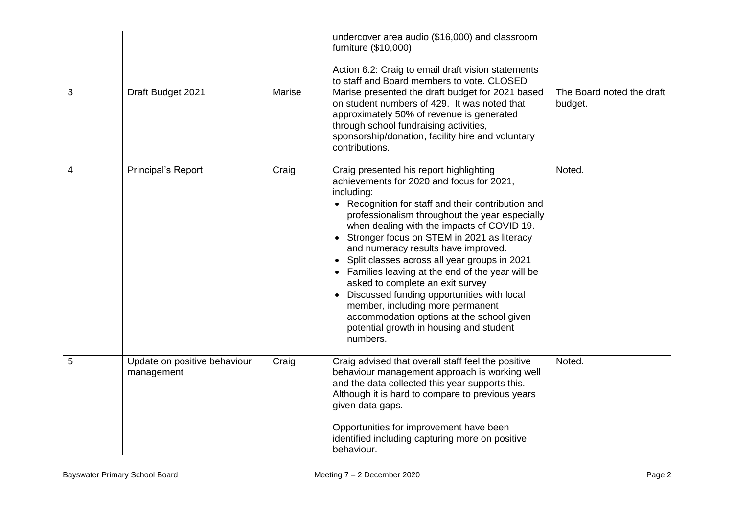|   |                                            |        | undercover area audio (\$16,000) and classroom<br>furniture (\$10,000).<br>Action 6.2: Craig to email draft vision statements<br>to staff and Board members to vote. CLOSED                                                                                                                                                                                                                                                                                                                                                                                                                                                                                              |                                      |
|---|--------------------------------------------|--------|--------------------------------------------------------------------------------------------------------------------------------------------------------------------------------------------------------------------------------------------------------------------------------------------------------------------------------------------------------------------------------------------------------------------------------------------------------------------------------------------------------------------------------------------------------------------------------------------------------------------------------------------------------------------------|--------------------------------------|
| 3 | Draft Budget 2021                          | Marise | Marise presented the draft budget for 2021 based<br>on student numbers of 429. It was noted that<br>approximately 50% of revenue is generated<br>through school fundraising activities,<br>sponsorship/donation, facility hire and voluntary<br>contributions.                                                                                                                                                                                                                                                                                                                                                                                                           | The Board noted the draft<br>budget. |
| 4 | <b>Principal's Report</b>                  | Craig  | Craig presented his report highlighting<br>achievements for 2020 and focus for 2021,<br>including:<br>Recognition for staff and their contribution and<br>professionalism throughout the year especially<br>when dealing with the impacts of COVID 19.<br>Stronger focus on STEM in 2021 as literacy<br>and numeracy results have improved.<br>Split classes across all year groups in 2021<br>Families leaving at the end of the year will be<br>asked to complete an exit survey<br>Discussed funding opportunities with local<br>member, including more permanent<br>accommodation options at the school given<br>potential growth in housing and student<br>numbers. | Noted.                               |
| 5 | Update on positive behaviour<br>management | Craig  | Craig advised that overall staff feel the positive<br>behaviour management approach is working well<br>and the data collected this year supports this.<br>Although it is hard to compare to previous years<br>given data gaps.<br>Opportunities for improvement have been<br>identified including capturing more on positive<br>behaviour.                                                                                                                                                                                                                                                                                                                               | Noted.                               |